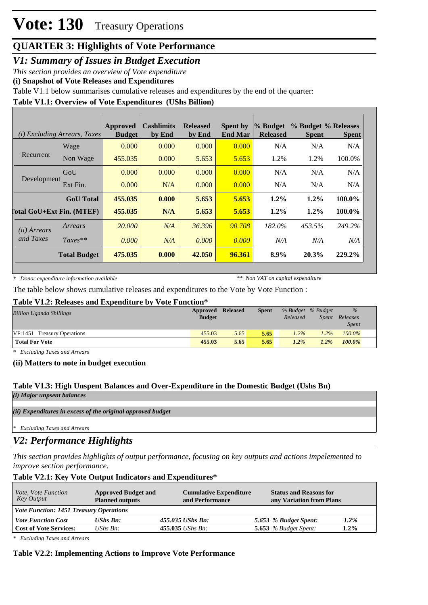# **Vote: 130** Treasury Operations

# **QUARTER 3: Highlights of Vote Performance**

*V1: Summary of Issues in Budget Execution*

*This section provides an overview of Vote expenditure* 

**(i) Snapshot of Vote Releases and Expenditures**

Table V1.1 below summarises cumulative releases and expenditures by the end of the quarter:

# **Table V1.1: Overview of Vote Expenditures (UShs Billion)**

| <i>(i)</i> Excluding Arrears, Taxes |                     | Approved<br><b>Budget</b> | <b>Cashlimits</b><br>by End | <b>Released</b><br>by End | <b>Spent by</b><br><b>End Mar</b> | % Budget<br><b>Released</b> | % Budget % Releases<br><b>Spent</b> | <b>Spent</b> |
|-------------------------------------|---------------------|---------------------------|-----------------------------|---------------------------|-----------------------------------|-----------------------------|-------------------------------------|--------------|
|                                     | Wage                | 0.000                     | 0.000                       | 0.000                     | 0.000                             | N/A                         | N/A                                 | N/A          |
| Recurrent                           | Non Wage            | 455.035                   | 0.000                       | 5.653                     | 5.653                             | 1.2%                        | 1.2%                                | 100.0%       |
|                                     | GoU                 | 0.000                     | 0.000                       | 0.000                     | 0.000                             | N/A                         | N/A                                 | N/A          |
| Development                         | Ext Fin.            | 0.000                     | N/A                         | 0.000                     | 0.000                             | N/A                         | N/A                                 | N/A          |
|                                     | <b>GoU</b> Total    | 455.035                   | 0.000                       | 5.653                     | 5.653                             | $1.2\%$                     | $1.2\%$                             | 100.0%       |
| [otal GoU+Ext Fin. (MTEF)           |                     | 455.035                   | N/A                         | 5.653                     | 5.653                             | $1.2\%$                     | $1.2\%$                             | 100.0%       |
| (ii) Arrears                        | Arrears             | 20,000                    | N/A                         | 36.396                    | 90.708                            | 182.0%                      | 453.5%                              | 249.2%       |
| and Taxes                           | $Taxes**$           | 0.000                     | N/A                         | 0.000                     | 0.000                             | N/A                         | N/A                                 | N/A          |
|                                     | <b>Total Budget</b> | 475.035                   | 0.000                       | 42.050                    | 96.361                            | 8.9%                        | 20.3%                               | 229.2%       |

*\* Donor expenditure information available*

*\*\* Non VAT on capital expenditure*

The table below shows cumulative releases and expenditures to the Vote by Vote Function :

#### **Table V1.2: Releases and Expenditure by Vote Function\***

| <b>Billion Uganda Shillings</b> | Approved<br><b>Budget</b> | <b>Released</b> | <b>Spent</b> | % Budget % Budget<br>Released | Spent   | $\%$<br>Releases<br><b>Spent</b> |
|---------------------------------|---------------------------|-----------------|--------------|-------------------------------|---------|----------------------------------|
| VF:1451 Treasury Operations     | 455.03                    | 5.65            | 5.65         | $1.2\%$                       | $1.2\%$ | $100.0\%$                        |
| <b>Total For Vote</b>           | 455.03                    | 5.65            | 5.65         | $1.2\%$                       | $1.2\%$ | $100.0\%$                        |

*\* Excluding Taxes and Arrears*

**(ii) Matters to note in budget execution**

# **Table V1.3: High Unspent Balances and Over-Expenditure in the Domestic Budget (Ushs Bn)**

*(i) Major unpsent balances*

*(ii) Expenditures in excess of the original approved budget*

*\* Excluding Taxes and Arrears*

# *V2: Performance Highlights*

*This section provides highlights of output performance, focusing on key outputs and actions impelemented to improve section performance.*

# **Table V2.1: Key Vote Output Indicators and Expenditures\***

| Vote, Vote Function<br>Key Output              | <b>Approved Budget and</b><br><b>Planned outputs</b> | <b>Cumulative Expenditure</b><br>and Performance | <b>Status and Reasons for</b><br>any Variation from Plans |         |
|------------------------------------------------|------------------------------------------------------|--------------------------------------------------|-----------------------------------------------------------|---------|
| <b>Vote Function: 1451 Treasury Operations</b> |                                                      |                                                  |                                                           |         |
| <b>Vote Function Cost</b>                      | <b>UShs Bn:</b>                                      | 455.035 UShs Bn:                                 | 5.653 % Budget Spent:                                     | 1.2%    |
| <b>Cost of Vote Services:</b>                  | UShs $B_n$ :                                         | $455.035$ UShs Bn:                               | 5.653 $%$ Budget Spent:                                   | $1.2\%$ |

*\* Excluding Taxes and Arrears*

#### **Table V2.2: Implementing Actions to Improve Vote Performance**